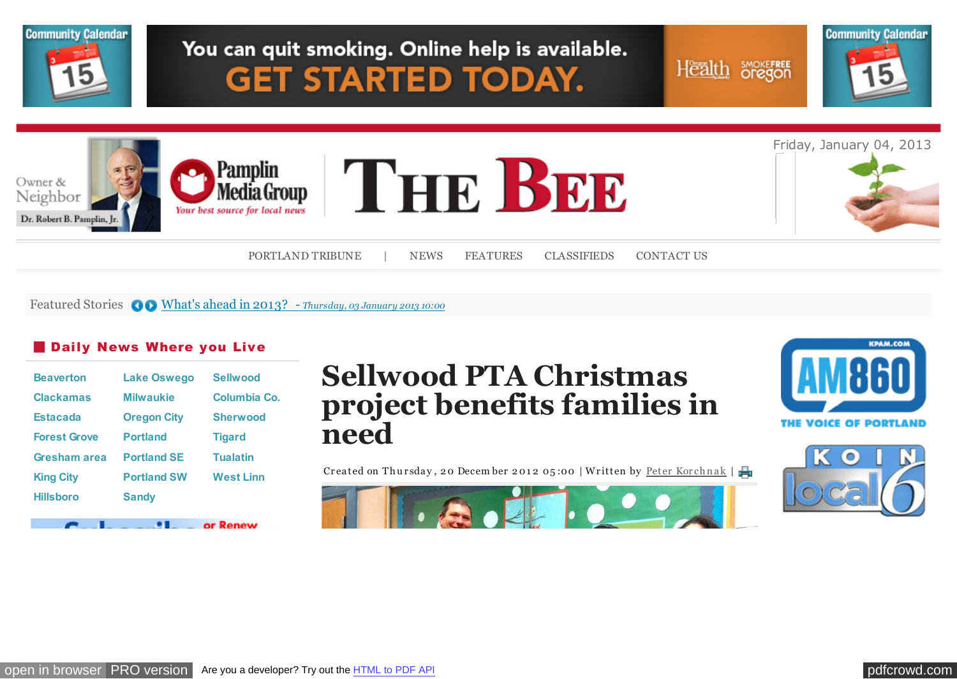

Featured Stories  $\bigcirc$  [What's ahead in 2013? -](http://portlandtribune.com/pt/9-news/125886-whats-ahead-in-2013?%20) *Thursday, 03 January 2013 10:00* 

### **Daily News Where you Live**

| <b>Beaverton</b>    | <b>Lake Oswego</b> | <b>Sellwood</b>  |
|---------------------|--------------------|------------------|
| <b>Clackamas</b>    | <b>Milwaukie</b>   | Columbia Co.     |
| <b>Estacada</b>     | <b>Oregon City</b> | <b>Sherwood</b>  |
| <b>Forest Grove</b> | <b>Portland</b>    | <b>Tigard</b>    |
| Gresham area        | <b>Portland SE</b> | <b>Tualatin</b>  |
| <b>King City</b>    | <b>Portland SW</b> | <b>West Linn</b> |
| <b>Hillsboro</b>    | <b>Sandy</b>       |                  |
|                     |                    |                  |

**Sellwood PTA Christmas project benefits families in need**

Createdon Thursday, 20 December 2012 05:00 | Written by Peter Korchnak |







or Renew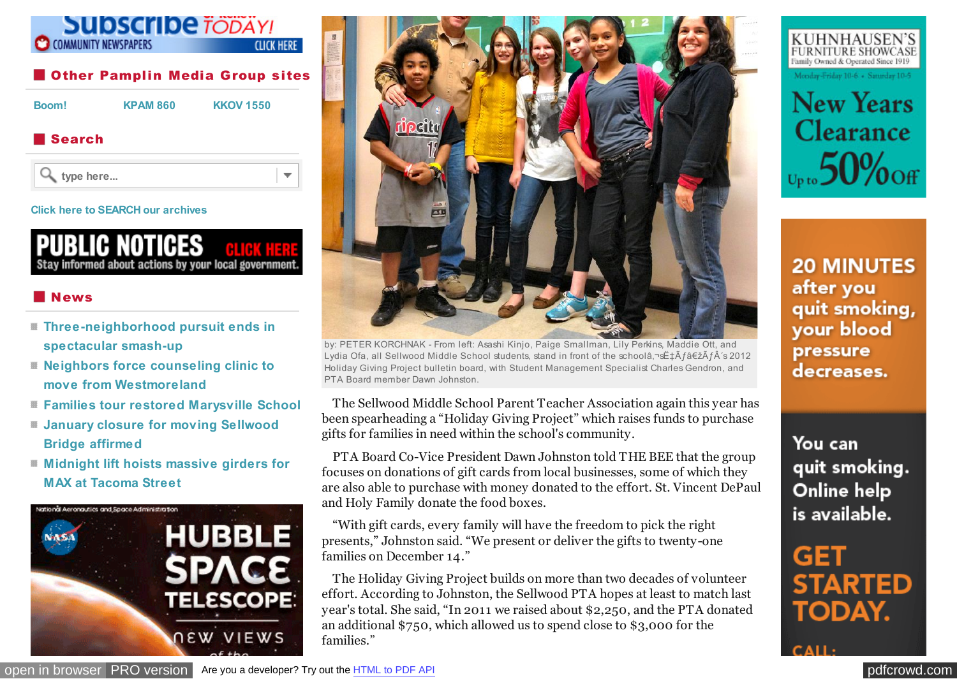

 $\overline{\phantom{a}}$ 

**type here...**

#### **[Click here to SEARCH our archives](http://portlandtribune.com/portland-tribune-news/archives)**



## News

- **[Three-neighborhood pursuit ends in](http://portlandtribune.com/sb/74-news/125011-three-neighborhood-pursuit-ends-in-spectacular-smash-up-) spectacular smash-up**
- **[Neighbors force counseling clinic to](http://portlandtribune.com/sb/74-news/124998-neighbors-force-counseling-clinic-to-move-from-westmoreland-) move from Westmoreland**
- **[Families tour restored Marysville School](http://portlandtribune.com/sb/74-news/124999-families-tour-restored-marysville-school)**
- **[January closure for moving Sellwood](http://portlandtribune.com/sb/74-news/125000-january-closure-for-moving-sellwood-bridge-affirmed-) Bridge affirmed**
- **[Midnight lift hoists massive girders for](http://portlandtribune.com/sb/74-news/125002-midnight-lift-hoists-massive-girders-for-max-at-tacoma-street) MAX at Tacoma Street**





by: PETER KORCHNAK - From left: Asashi Kinjo, Paige Smallman, Lily Perkins, Maddie Ott, and Lydia Ofa, all Sellwood Middle School students, stand in front of the schoolâ,¬sˇÃ f"à f s 2012 Holiday Giving Project bulletin board, with Student Management Specialist Charles Gendron, and PTA Board member Dawn Johnston.

The Sellwood Middle School Parent Teacher Association again this year has been spearheading a "Holiday Giving Project" which raises funds to purchase gifts for families in need within the school's community.

PTA Board Co-Vice President Dawn Johnston told THE BEE that the group focuses on donations of gift cards from local businesses, some of which they are also able to purchase with money donated to the effort. St. Vincent DePaul and Holy Family donate the food boxes.

"With gift cards, every family will have the freedom to pick the right presents," Johnston said. "We present or deliver the gifts to twenty-one families on December 14."

The Holiday Giving Project builds on more than two decades of volunteer effort. According to Johnston, the Sellwood PTA hopes at least to match last year's total. She said, "In 2011 we raised about \$2,250, and the PTA donated an additional \$750, which allowed us to spend close to \$3,000 for the families."



 $_{\upsilon_{\rm pto}}$ 50% off

**20 MINUTES** after you quit smoking, your blood pressure decreases.

You can quit smoking. Online help is available.

GET **STARTED TODAY.** 

[open in browser](http://pdfcrowd.com/redirect/?url=http%3a%2f%2fportlandtribune.com%2fsb%2f75-features%2f125045-sellwood-pta-christmas-project-benefits-families-in-need&id=ma-130104115249-9e9d1630) [PRO version](http://openx.pmgwebads.com/www/delivery/ck.php?oaparams=2__bannerid=1396__zoneid=275__cb=bcde0887b4__oadest=http%3A%2F%2Fwww.washingtoncountymuseum.org%2Fhubble) Are you a developer? Try out th[e HTML to PDF API](http://pdfcrowd.com/html-to-pdf-api/?ref=pdf) position and the Area of the Area of the Area of the Area of the Area of the Area of the Area of the Area of the Area of the Area of the Area of